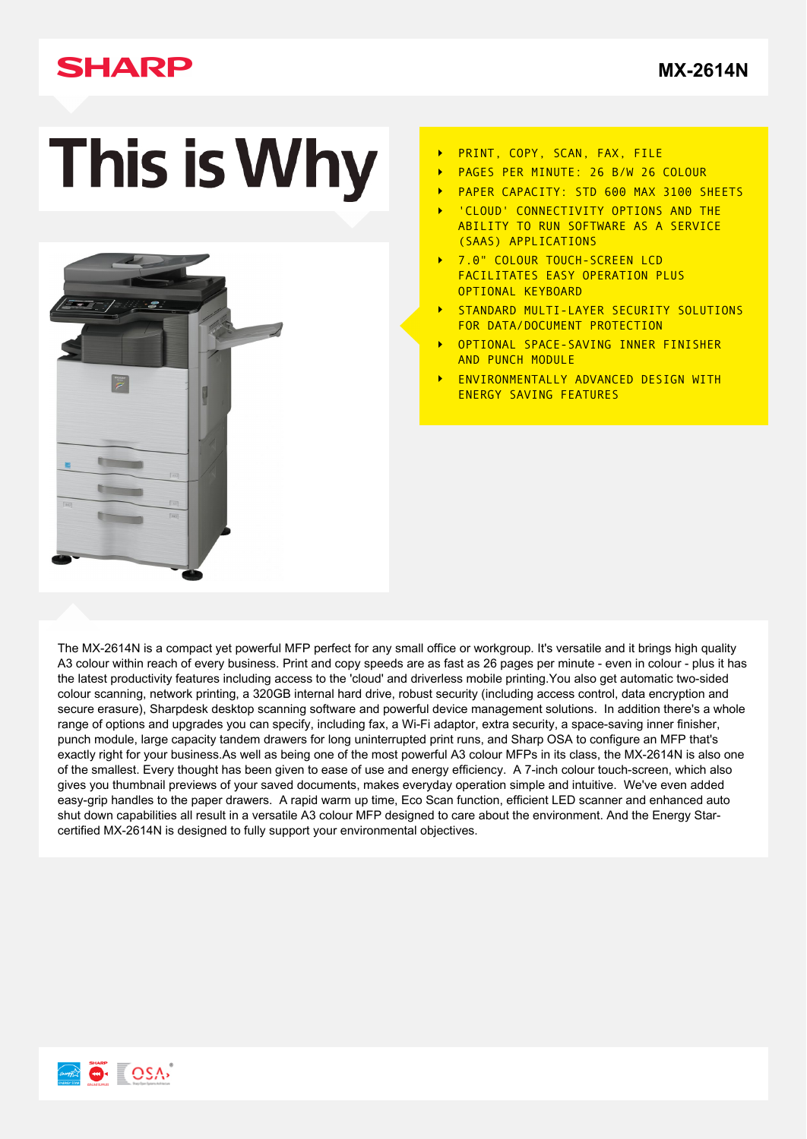# **SHARP**

**[MX-2614N](http://www.sharp.co.uk/cps/rde/xchg/gb/hs.xsl/-/html/product-details.htm?product=MX2614N&cat=341)**

# This is Why



- PRINT, COPY, SCAN, FAX, FILE  $\ddot{\phantom{1}}$
- PAGES PER MINUTE: 26 B/W 26 COLOUR
- PAPER CAPACITY: STD 600 MAX 3100 SHEETS
- 'CLOUD' CONNECTIVITY OPTIONS AND THE ABILITY TO RUN SOFTWARE AS A SERVICE (SAAS) APPLICATIONS
- 7.0" COLOUR TOUCH-SCREEN LCD FACILITATES EASY OPERATION PLUS OPTIONAL KEYBOARD
- STANDARD MULTI-LAYER SECURITY SOLUTIONS FOR DATA/DOCUMENT PROTECTION
- OPTIONAL SPACE-SAVING INNER FINISHER AND PUNCH MODULE
- ENVIRONMENTALLY ADVANCED DESIGN WITH ENERGY SAVING FEATURES

The MX-2614N is a compact yet powerful MFP perfect for any small office or workgroup. It's versatile and it brings high quality A3 colour within reach of every business. Print and copy speeds are as fast as 26 pages per minute - even in colour - plus it has the latest productivity features including access to the 'cloud' and driverless mobile printing.You also get automatic two-sided colour scanning, network printing, a 320GB internal hard drive, robust security (including access control, data encryption and secure erasure), Sharpdesk desktop scanning software and powerful device management solutions. In addition there's a whole range of options and upgrades you can specify, including fax, a Wi-Fi adaptor, extra security, a space-saving inner finisher, punch module, large capacity tandem drawers for long uninterrupted print runs, and Sharp OSA to configure an MFP that's exactly right for your business.As well as being one of the most powerful A3 colour MFPs in its class, the MX-2614N is also one of the smallest. Every thought has been given to ease of use and energy efficiency. A 7-inch colour touch-screen, which also gives you thumbnail previews of your saved documents, makes everyday operation simple and intuitive. We've even added easy-grip handles to the paper drawers. A rapid warm up time, Eco Scan function, efficient LED scanner and enhanced auto shut down capabilities all result in a versatile A3 colour MFP designed to care about the environment. And the Energy Starcertified MX-2614N is designed to fully support your environmental objectives.